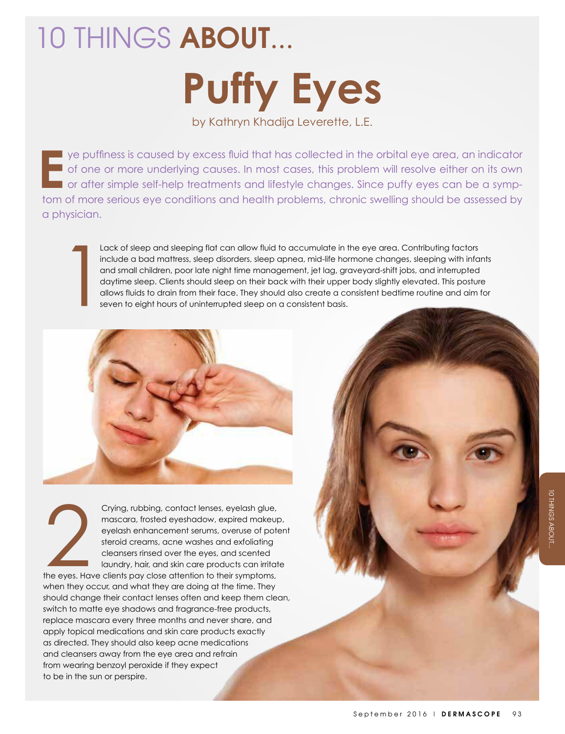## 10 THINGS ABOUT... **Puffy Eyes**

by Kathryn Khadija Leverette, L.E.

**E**  $\blacksquare$  ye puffiness is caused by excess fluid that has collected in the orbital eye area, an indicator of one or more underlying causes. In most cases, this problem will resolve either on its own or after simple self-help treatments and lifestyle changes. Since puffy eyes can be a symptom of more serious eye conditions and health problems, chronic swelling should be assessed by a physician.

> Lack of sleep and sleeping flat can allow fluid to accumulate in the eye area. Contributing factors include a bad mattress, sleep disorders, sleep apnea, mid-life hormone changes, sleeping with infants and small children, poor late night time management, jet lag, graveyard-shift jobs, and interrupted daytime sleep. Clients should sleep on their back with their upper body slightly elevated. This posture allows fluids to drain from their face. They should also create a consistent bedtime routine and aim for seven to eight hours of uninterrupted sleep on a consistent basis.



Crying, rubbing, contact lenses, eyelash glue, mascara, frosted eyeshadow, expired makeup, eyelash enhancement serums, overuse of potent steroid creams, acne washes and exfoliating cleansers rinsed over the eyes, and scented laundry, hair, and skin care products can irritate

the eyes. Have clients pay close attention to their symptoms, when they occur, and what they are doing at the time. They should change their contact lenses often and keep them clean, switch to matte eye shadows and fragrance-free products, replace mascara every three months and never share, and apply topical medications and skin care products exactly as directed. They should also keep acne medications and cleansers away from the eye area and refrain from wearing benzoyl peroxide if they expect to be in the sun or perspire. The eyes. Ho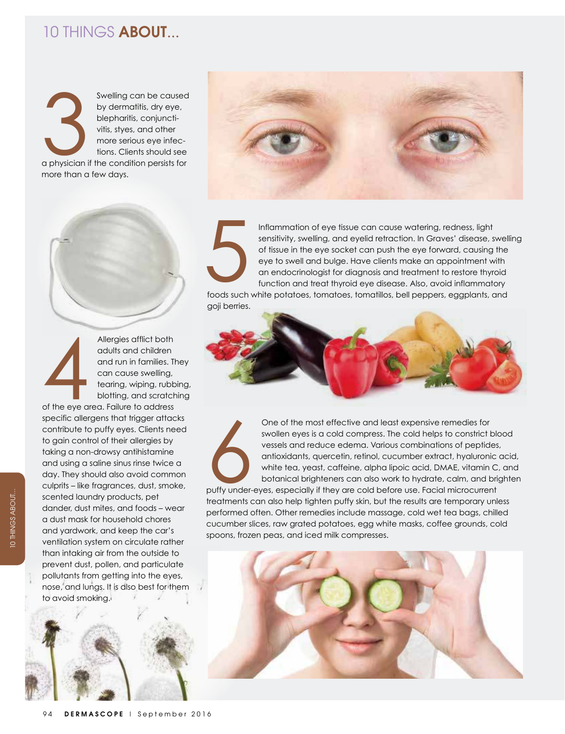## 10 THINGS ABOUT...

Swelling can be caused by dermatitis, dry eye, blepharitis, conjunctivitis, styes, and other more serious eye infections. Clients should see a physician if the condition persists for more than a few days. a physician







Inflammation of eye tissue can cause watering, redness, light sensitivity, swelling, and eyelid retraction. In Graves' disease, swelling of tissue in the eye socket can push the eye forward, causing the eye to swell and bulge. Have clients make an appointment with an endocrinologist for diagnosis and treatment to restore thyroid function and treat thyroid eye disease. Also, avoid inflammatory Inflammation of eye tissue can cause watering, redness, light<br>sensitivity, swelling, and eyelid retraction. In Graves' disease, swell<br>of tissue in the eye socket can push the eye forward, causing the<br>eye to swell and bulge

goji berries.



One of the most effective and least expensive remedies for swollen eyes is a cold compress. The cold helps to constrict blood vessels and reduce edema. Various combinations of peptides, antioxidants, quercetin, retinol, cucumber extract, hyaluronic acid, white tea, yeast, caffeine, alpha lipoic acid, DMAE, vitamin C, and botanical brighteners can also work to hydrate, calm, and brighten puffy under-eyes, especially if they are cold before use. Facial microcurrent treatments can also help tighten puffy skin, but the results are temporary unless performed often. Other remedies include massage, cold wet tea bags, chilled cucumber slices, raw grated potatoes, egg white masks, coffee grounds, cold Buffy under-



spoons, frozen peas, and iced milk compresses.